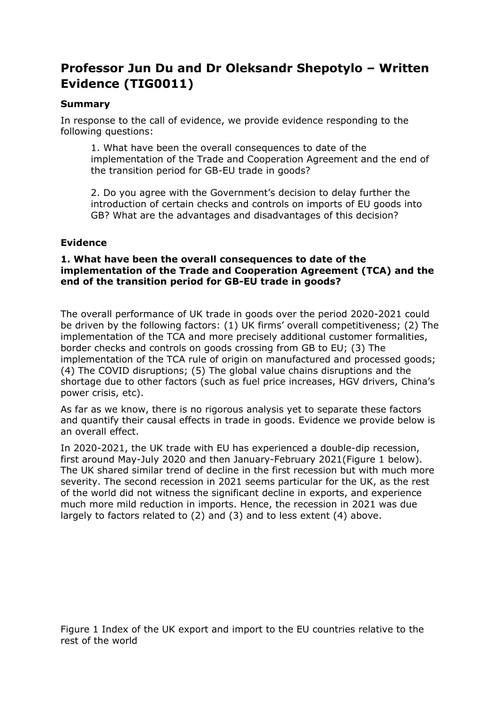# **Professor Jun Du and Dr Oleksandr Shepotylo – Written Evidence (TIG0011)**

# **Summary**

In response to the call of evidence, we provide evidence responding to the following questions:

1. What have been the overall consequences to date of the implementation of the Trade and Cooperation Agreement and the end of the transition period for GB-EU trade in goods?

2. Do you agree with the Government's decision to delay further the introduction of certain checks and controls on imports of EU goods into GB? What are the advantages and disadvantages of this decision?

# **Evidence**

# **1. What have been the overall consequences to date of the implementation of the Trade and Cooperation Agreement (TCA) and the end of the transition period for GB-EU trade in goods?**

The overall performance of UK trade in goods over the period 2020-2021 could be driven by the following factors: (1) UK firms' overall competitiveness; (2) The implementation of the TCA and more precisely additional customer formalities, border checks and controls on goods crossing from GB to EU; (3) The implementation of the TCA rule of origin on manufactured and processed goods; (4) The COVID disruptions; (5) The global value chains disruptions and the shortage due to other factors (such as fuel price increases, HGV drivers, China's power crisis, etc).

As far as we know, there is no rigorous analysis yet to separate these factors and quantify their causal effects in trade in goods. Evidence we provide below is an overall effect.

In 2020-2021, the UK trade with EU has experienced a double-dip recession, first around May-July 2020 and then January-February 2021(Figure 1 below). The UK shared similar trend of decline in the first recession but with much more severity. The second recession in 2021 seems particular for the UK, as the rest of the world did not witness the significant decline in exports, and experience much more mild reduction in imports. Hence, the recession in 2021 was due largely to factors related to (2) and (3) and to less extent (4) above.

Figure 1 Index of the UK export and import to the EU countries relative to the rest of the world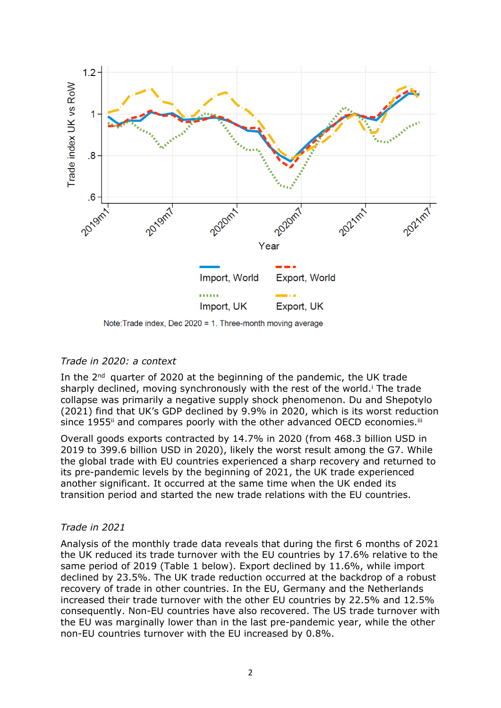

## *Trade in 2020: a context*

In the 2<sup>nd</sup> quarter of 2020 at the beginning of the pandemic, the UK trade sharply declined, moving synchronously with the rest of the world.<sup>i</sup> The trade collapse was primarily a negative supply shock phenomenon. Du and Shepotylo (2021) find that UK's GDP declined by 9.9% in 2020, which is its worst reduction since 1955<sup>ii</sup> and compares poorly with the other advanced OECD economies.<sup>iii</sup>

Overall goods exports contracted by 14.7% in 2020 (from 468.3 billion USD in 2019 to 399.6 billion USD in 2020), likely the worst result among the G7. While the global trade with EU countries experienced a sharp recovery and returned to its pre-pandemic levels by the beginning of 2021, the UK trade experienced another significant. It occurred at the same time when the UK ended its transition period and started the new trade relations with the EU countries.

## *Trade in 2021*

Analysis of the monthly trade data reveals that during the first 6 months of 2021 the UK reduced its trade turnover with the EU countries by 17.6% relative to the same period of 2019 (Table 1 below). Export declined by 11.6%, while import declined by 23.5%. The UK trade reduction occurred at the backdrop of a robust recovery of trade in other countries. In the EU, Germany and the Netherlands increased their trade turnover with the other EU countries by 22.5% and 12.5% consequently. Non-EU countries have also recovered. The US trade turnover with the EU was marginally lower than in the last pre-pandemic year, while the other non-EU countries turnover with the EU increased by 0.8%.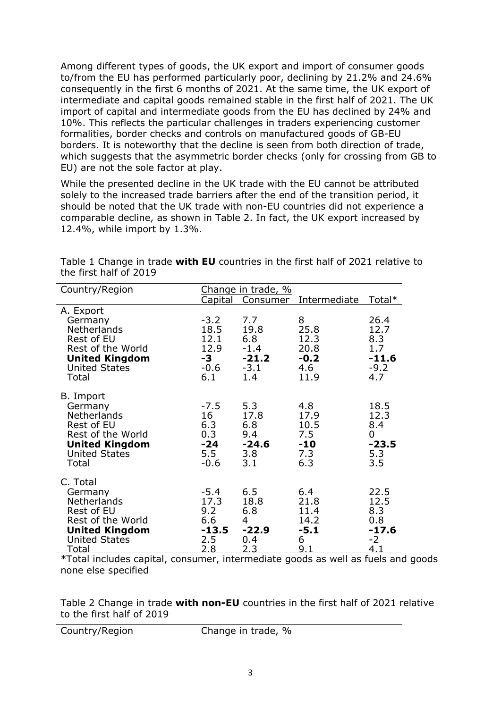Among different types of goods, the UK export and import of consumer goods to/from the EU has performed particularly poor, declining by 21.2% and 24.6% consequently in the first 6 months of 2021. At the same time, the UK export of intermediate and capital goods remained stable in the first half of 2021. The UK import of capital and intermediate goods from the EU has declined by 24% and 10%. This reflects the particular challenges in traders experiencing customer formalities, border checks and controls on manufactured goods of GB-EU borders. It is noteworthy that the decline is seen from both direction of trade, which suggests that the asymmetric border checks (only for crossing from GB to EU) are not the sole factor at play.

While the presented decline in the UK trade with the EU cannot be attributed solely to the increased trade barriers after the end of the transition period, it should be noted that the UK trade with non-EU countries did not experience a comparable decline, as shown in Table 2. In fact, the UK export increased by 12.4%, while import by 1.3%.

| Country/Region                                                                                                                          | Change in trade, %                                    |                                                          |                                                    |                                                        |
|-----------------------------------------------------------------------------------------------------------------------------------------|-------------------------------------------------------|----------------------------------------------------------|----------------------------------------------------|--------------------------------------------------------|
|                                                                                                                                         | Capital                                               | Consumer                                                 | Intermediate                                       | Total*                                                 |
| A. Export<br>Germany<br><b>Netherlands</b><br>Rest of EU<br>Rest of the World<br><b>United Kingdom</b><br><b>United States</b><br>Total | $-3.2$<br>18.5<br>12.1<br>12.9<br>-3<br>$-0.6$<br>6.1 | 7.7<br>19.8<br>6.8<br>$-1.4$<br>$-21.2$<br>$-3.1$<br>1.4 | 8<br>25.8<br>12.3<br>20.8<br>$-0.2$<br>4.6<br>11.9 | 26.4<br>12.7<br>8.3<br>1.7<br>$-11.6$<br>$-9.2$<br>4.7 |
| B. Import<br>Germany<br><b>Netherlands</b><br>Rest of EU<br>Rest of the World<br><b>United Kingdom</b><br><b>United States</b><br>Total | $-7.5$<br>16<br>6.3<br>0.3<br>$-24$<br>5.5<br>$-0.6$  | 5.3<br>17.8<br>6.8<br>9.4<br>$-24.6$<br>3.8<br>3.1       | 4.8<br>17.9<br>10.5<br>7.5<br>$-10$<br>7.3<br>6.3  | 18.5<br>12.3<br>8.4<br>0<br>$-23.5$<br>5.3<br>3.5      |
| C. Total<br>Germany<br>Netherlands<br>Rest of EU<br>Rest of the World<br><b>United Kingdom</b><br><b>United States</b><br><u>Total</u>  | $-5.4$<br>17.3<br>9.2<br>6.6<br>$-13.5$<br>2.5<br>2.8 | 6.5<br>18.8<br>6.8<br>4<br>$-22.9$<br>0.4<br>2.3         | 6.4<br>21.8<br>11.4<br>14.2<br>$-5.1$<br>6<br>9.1  | 22.5<br>12.5<br>8.3<br>0.8<br>$-17.6$<br>$-2$<br>4.1   |

Table 1 Change in trade **with EU** countries in the first half of 2021 relative to the first half of 2019

\*Total includes capital, consumer, intermediate goods as well as fuels and goods none else specified

Table 2 Change in trade **with non-EU** countries in the first half of 2021 relative to the first half of 2019

Country/Region Change in trade, %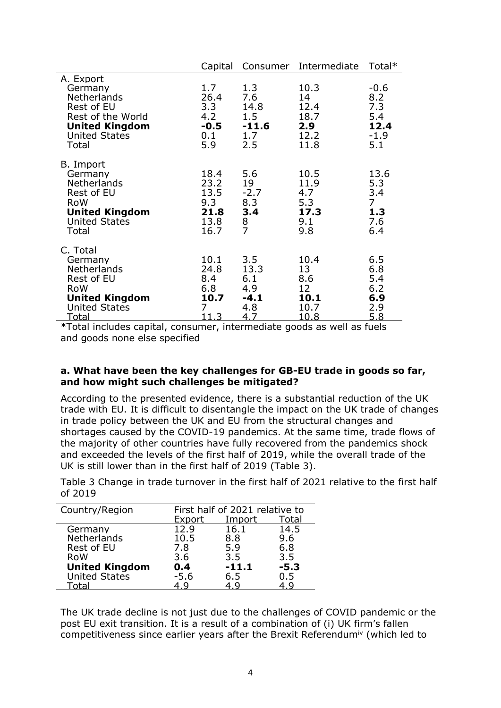|                                                                                                                                        | Capital                                                              | Consumer                                                                   | Intermediate                                           | Total*                                                    |
|----------------------------------------------------------------------------------------------------------------------------------------|----------------------------------------------------------------------|----------------------------------------------------------------------------|--------------------------------------------------------|-----------------------------------------------------------|
| A. Export<br>Germany<br>Netherlands<br>Rest of EU<br>Rest of the World<br><b>United Kingdom</b><br><b>United States</b><br>Total       | 1.7 <sub>2</sub><br>26.4<br>3.3<br>4.2<br>$-0.5$<br>0.1<br>5.9       | 1.3<br>7.6<br>14.8<br>1.5<br>$-11.6$<br>1.7<br>2.5                         | 10.3<br>14<br>12.4<br>18.7<br>2.9<br>12.2<br>11.8      | $-0.6$<br>8.2<br>7.3<br>5.4<br>12.4<br>$-1.9$<br>5.1      |
| B. Import<br>Germany<br><b>Netherlands</b><br>Rest of EU<br><b>RoW</b><br><b>United Kingdom</b><br><b>United States</b><br>Total       | 18.4<br>23.2<br>13.5<br>9.3<br>21.8<br>13.8<br>16.7                  | 5.6<br>19<br>$-2.7$<br>8.3<br>3.4<br>$\begin{array}{c} 8 \\ 7 \end{array}$ | 10.5<br>11.9<br>4.7<br>5.3<br>17.3<br>9.1<br>9.8       | 13.6<br>5.3<br>3.4<br>$\overline{7}$<br>1.3<br>7.6<br>6.4 |
| C. Total<br>Germany<br><b>Netherlands</b><br>Rest of EU<br><b>RoW</b><br><b>United Kingdom</b><br><b>United States</b><br><b>Total</b> | 10.1<br>24.8<br>8.4<br>6.8<br>10.7<br>$\overline{7}$<br><u> 11.3</u> | 3.5<br>13.3<br>6.1<br>4.9<br>$-4.1$<br>4.8<br>4.7                          | 10.4<br>13<br>8.6<br>12<br>10.1<br>10.7<br><u>10.8</u> | 6.5<br>6.8<br>5.4<br>6.2<br>6.9<br>2.9<br>5.8             |

\*Total includes capital, consumer, intermediate goods as well as fuels and goods none else specified

## **a. What have been the key challenges for GB-EU trade in goods so far, and how might such challenges be mitigated?**

According to the presented evidence, there is a substantial reduction of the UK trade with EU. It is difficult to disentangle the impact on the UK trade of changes in trade policy between the UK and EU from the structural changes and shortages caused by the COVID-19 pandemics. At the same time, trade flows of the majority of other countries have fully recovered from the pandemics shock and exceeded the levels of the first half of 2019, while the overall trade of the UK is still lower than in the first half of 2019 (Table 3).

Table 3 Change in trade turnover in the first half of 2021 relative to the first half of 2019

| Country/Region        | First half of 2021 relative to |               |        |
|-----------------------|--------------------------------|---------------|--------|
|                       | <u>Export</u>                  | <u>Import</u> | Total  |
| Germany               | 12.9                           | 16.1          | 14.5   |
| Netherlands           | 10.5                           | 8.8           | 9.6    |
| Rest of EU            | 7.8                            | 5.9           | 6.8    |
| RoW                   | 3.6                            | 3.5           | 3.5    |
| <b>United Kingdom</b> | 0.4                            | $-11.1$       | $-5.3$ |
| <b>United States</b>  | $-5.6$                         | 6.5           | 0.5    |
|                       |                                |               |        |

The UK trade decline is not just due to the challenges of COVID pandemic or the post EU exit transition. It is a result of a combination of (i) UK firm's fallen competitiveness since earlier years after the Brexit Referendumiv (which led to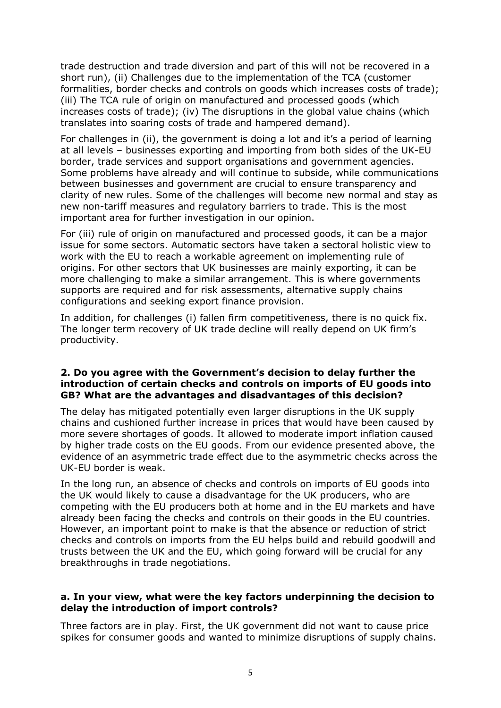trade destruction and trade diversion and part of this will not be recovered in a short run), (ii) Challenges due to the implementation of the TCA (customer formalities, border checks and controls on goods which increases costs of trade); (iii) The TCA rule of origin on manufactured and processed goods (which increases costs of trade); (iv) The disruptions in the global value chains (which translates into soaring costs of trade and hampered demand).

For challenges in (ii), the government is doing a lot and it's a period of learning at all levels – businesses exporting and importing from both sides of the UK-EU border, trade services and support organisations and government agencies. Some problems have already and will continue to subside, while communications between businesses and government are crucial to ensure transparency and clarity of new rules. Some of the challenges will become new normal and stay as new non-tariff measures and regulatory barriers to trade. This is the most important area for further investigation in our opinion.

For (iii) rule of origin on manufactured and processed goods, it can be a major issue for some sectors. Automatic sectors have taken a sectoral holistic view to work with the EU to reach a workable agreement on implementing rule of origins. For other sectors that UK businesses are mainly exporting, it can be more challenging to make a similar arrangement. This is where governments supports are required and for risk assessments, alternative supply chains configurations and seeking export finance provision.

In addition, for challenges (i) fallen firm competitiveness, there is no quick fix. The longer term recovery of UK trade decline will really depend on UK firm's productivity.

## **2. Do you agree with the Government's decision to delay further the introduction of certain checks and controls on imports of EU goods into GB? What are the advantages and disadvantages of this decision?**

The delay has mitigated potentially even larger disruptions in the UK supply chains and cushioned further increase in prices that would have been caused by more severe shortages of goods. It allowed to moderate import inflation caused by higher trade costs on the EU goods. From our evidence presented above, the evidence of an asymmetric trade effect due to the asymmetric checks across the UK-EU border is weak.

In the long run, an absence of checks and controls on imports of EU goods into the UK would likely to cause a disadvantage for the UK producers, who are competing with the EU producers both at home and in the EU markets and have already been facing the checks and controls on their goods in the EU countries. However, an important point to make is that the absence or reduction of strict checks and controls on imports from the EU helps build and rebuild goodwill and trusts between the UK and the EU, which going forward will be crucial for any breakthroughs in trade negotiations.

# **a. In your view, what were the key factors underpinning the decision to delay the introduction of import controls?**

Three factors are in play. First, the UK government did not want to cause price spikes for consumer goods and wanted to minimize disruptions of supply chains.